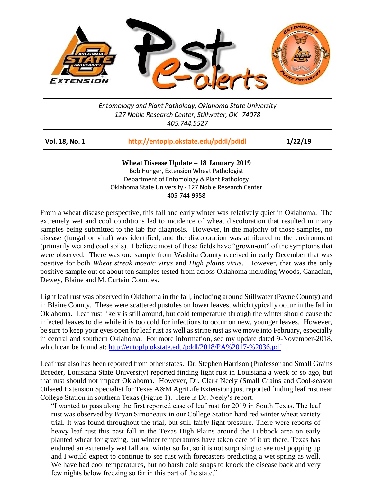

*Entomology and Plant Pathology, Oklahoma State University 127 Noble Research Center, Stillwater, OK 74078 405.744.5527*

| Vol. 18, No. 1 | http://entoplp.okstate.edu/pddl/pdidl | 1/22/19 |
|----------------|---------------------------------------|---------|
|                |                                       |         |

**Wheat Disease Update – 18 January 2019** Bob Hunger, Extension Wheat Pathologist Department of Entomology & Plant Pathology Oklahoma State University - 127 Noble Research Center 405-744-9958

From a wheat disease perspective, this fall and early winter was relatively quiet in Oklahoma. The extremely wet and cool conditions led to incidence of wheat discoloration that resulted in many samples being submitted to the lab for diagnosis. However, in the majority of those samples, no disease (fungal or viral) was identified, and the discoloration was attributed to the environment (primarily wet and cool soils). I believe most of these fields have "grown-out" of the symptoms that were observed. There was one sample from Washita County received in early December that was positive for both *Wheat streak mosaic virus* and *High plains virus*. However, that was the only positive sample out of about ten samples tested from across Oklahoma including Woods, Canadian, Dewey, Blaine and McCurtain Counties.

Light leaf rust was observed in Oklahoma in the fall, including around Stillwater (Payne County) and in Blaine County. These were scattered pustules on lower leaves, which typically occur in the fall in Oklahoma. Leaf rust likely is still around, but cold temperature through the winter should cause the infected leaves to die while it is too cold for infections to occur on new, younger leaves. However, be sure to keep your eyes open for leaf rust as well as stripe rust as we move into February, especially in central and southern Oklahoma. For more information, see my update dated 9-November-2018, which can be found at:<http://entoplp.okstate.edu/pddl/2018/PA%2017-%2036.pdf>

Leaf rust also has been reported from other states. Dr. Stephen Harrison (Professor and Small Grains Breeder, Louisiana State University) reported finding light rust in Louisiana a week or so ago, but that rust should not impact Oklahoma. However, Dr. Clark Neely (Small Grains and Cool-season Oilseed Extension Specialist for Texas A&M AgriLife Extension) just reported finding leaf rust near College Station in southern Texas (Figure 1). Here is Dr. Neely's report:

"I wanted to pass along the first reported case of leaf rust for 2019 in South Texas. The leaf rust was observed by Bryan Simoneaux in our College Station hard red winter wheat variety trial. It was found throughout the trial, but still fairly light pressure. There were reports of heavy leaf rust this past fall in the Texas High Plains around the Lubbock area on early planted wheat for grazing, but winter temperatures have taken care of it up there. Texas has endured an extremely wet fall and winter so far, so it is not surprising to see rust popping up and I would expect to continue to see rust with forecasters predicting a wet spring as well. We have had cool temperatures, but no harsh cold snaps to knock the disease back and very few nights below freezing so far in this part of the state."